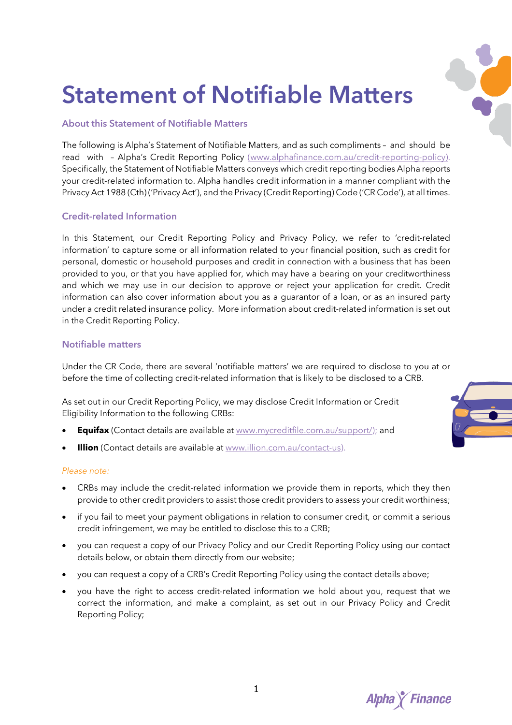

# **Statement of Notifiable Matters**

# **About this Statement of Notifiable Matters**

The following is Alpha's Statement of Notifiable Matters, and as such compliments – and should be read with – Alpha's Credit Reporting Policy (www.alphafinance.com.au/credit-reporting-policy). Specifically, the Statement of Notifiable Matters conveys which credit reporting bodies Alpha reports your credit-related information to. Alpha handles credit information in a manner compliant with the Privacy Act 1988 (Cth) ('Privacy Act'), and the Privacy (Credit Reporting) Code ('CR Code'), at all times.

# **Credit-related Information**

In this Statement, our Credit Reporting Policy and Privacy Policy, we refer to 'credit-related information' to capture some or all information related to your financial position, such as credit for personal, domestic or household purposes and credit in connection with a business that has been provided to you, or that you have applied for, which may have a bearing on your creditworthiness and which we may use in our decision to approve or reject your application for credit. Credit information can also cover information about you as a guarantor of a loan, or as an insured party under a credit related insurance policy. More information about credit-related information is set out in the Credit Reporting Policy.

### **Notifiable matters**

Under the CR Code, there are several 'notifiable matters' we are required to disclose to you at or before the time of collecting credit-related information that is likely to be disclosed to a CRB.

As set out in our Credit Reporting Policy, we may disclose Credit Information or Credit Eligibility Information to the following CRBs:

- **Equifax** (Contact details are available at www.mycreditfile.com.au/support/); and
- **Illion** (Contact details are available at www.illion.com.au/contact-us).

#### *Please note:*

- CRBs may include the credit-related information we provide them in reports, which they then provide to other credit providers to assist those credit providers to assess your credit worthiness;
- if you fail to meet your payment obligations in relation to consumer credit, or commit a serious credit infringement, we may be entitled to disclose this to a CRB;
- you can request a copy of our Privacy Policy and our Credit Reporting Policy using our contact details below, or obtain them directly from our website;
- you can request a copy of a CRB's Credit Reporting Policy using the contact details above;
- you have the right to access credit-related information we hold about you, request that we correct the information, and make a complaint, as set out in our Privacy Policy and Credit Reporting Policy;